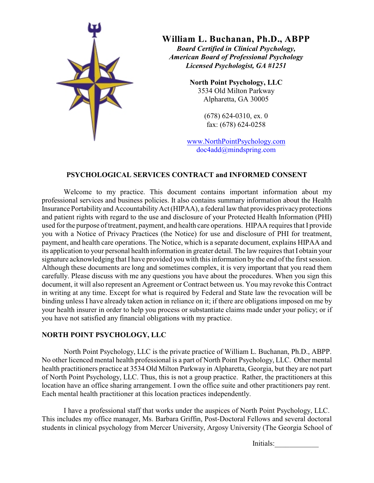

# **William L. Buchanan, Ph.D., ABPP**

*Board Certified in Clinical Psychology, American Board of Professional Psychology Licensed Psychologist, GA #1251*

> **North Point Psychology, LLC** 3534 Old Milton Parkway Alpharetta, GA 30005

> > (678) 624-0310, ex. 0 fax: (678) 624-0258

www.NorthPointPsychology.com doc4add@mindspring.com

## **PSYCHOLOGICAL SERVICES CONTRACT and INFORMED CONSENT**

Welcome to my practice. This document contains important information about my professional services and business policies. It also contains summary information about the Health Insurance Portability and Accountability Act (HIPAA), a federal law that provides privacy protections and patient rights with regard to the use and disclosure of your Protected Health Information (PHI) used for the purpose of treatment, payment, and health care operations. HIPAA requires that I provide you with a Notice of Privacy Practices (the Notice) for use and disclosure of PHI for treatment, payment, and health care operations. The Notice, which is a separate document, explains HIPAA and its application to your personal health information in greater detail. The law requires that I obtain your signature acknowledging that I have provided you with this information by the end of the first session. Although these documents are long and sometimes complex, it is very important that you read them carefully. Please discuss with me any questions you have about the procedures. When you sign this document, it will also represent an Agreement or Contract between us. You may revoke this Contract in writing at any time. Except for what is required by Federal and State law the revocation will be binding unless I have already taken action in reliance on it; if there are obligations imposed on me by your health insurer in order to help you process or substantiate claims made under your policy; or if you have not satisfied any financial obligations with my practice.

### **NORTH POINT PSYCHOLOGY, LLC**

North Point Psychology, LLC is the private practice of William L. Buchanan, Ph.D., ABPP. No other licenced mental health professional is a part of North Point Psychology, LLC. Other mental health practitioners practice at 3534 Old Milton Parkway in Alpharetta, Georgia, but they are not part of North Point Psychology, LLC. Thus, this is not a group practice. Rather, the practitioners at this location have an office sharing arrangement. I own the office suite and other practitioners pay rent. Each mental health practitioner at this location practices independently.

I have a professional staff that works under the auspices of North Point Psychology, LLC. This includes my office manager, Ms. Barbara Griffin, Post-Doctoral Fellows and several doctoral students in clinical psychology from Mercer University, Argosy University (The Georgia School of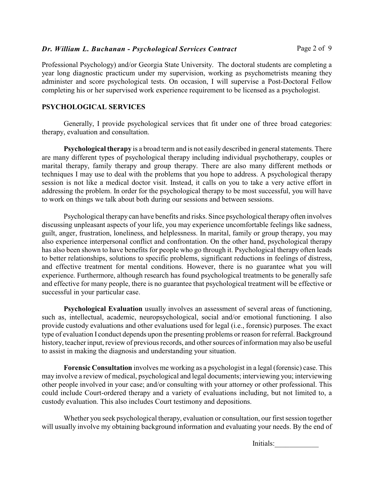Professional Psychology) and/or Georgia State University. The doctoral students are completing a year long diagnostic practicum under my supervision, working as psychometrists meaning they administer and score psychological tests. On occasion, I will supervise a Post-Doctoral Fellow completing his or her supervised work experience requirement to be licensed as a psychologist.

## **PSYCHOLOGICAL SERVICES**

Generally, I provide psychological services that fit under one of three broad categories: therapy, evaluation and consultation.

**Psychological therapy** is a broad term and is not easily described in general statements. There are many different types of psychological therapy including individual psychotherapy, couples or marital therapy, family therapy and group therapy. There are also many different methods or techniques I may use to deal with the problems that you hope to address. A psychological therapy session is not like a medical doctor visit. Instead, it calls on you to take a very active effort in addressing the problem. In order for the psychological therapy to be most successful, you will have to work on things we talk about both during our sessions and between sessions.

Psychological therapy can have benefits and risks. Since psychological therapy often involves discussing unpleasant aspects of your life, you may experience uncomfortable feelings like sadness, guilt, anger, frustration, loneliness, and helplessness. In marital, family or group therapy, you may also experience interpersonal conflict and confrontation. On the other hand, psychological therapy has also been shown to have benefits for people who go through it. Psychological therapy often leads to better relationships, solutions to specific problems, significant reductions in feelings of distress, and effective treatment for mental conditions. However, there is no guarantee what you will experience. Furthermore, although research has found psychological treatments to be generally safe and effective for many people, there is no guarantee that psychological treatment will be effective or successful in your particular case.

**Psychological Evaluation** usually involves an assessment of several areas of functioning, such as, intellectual, academic, neuropsychological, social and/or emotional functioning. I also provide custody evaluations and other evaluations used for legal (i.e., forensic) purposes. The exact type of evaluation I conduct depends upon the presenting problems or reason for referral. Background history, teacher input, review of previous records, and other sources of information may also be useful to assist in making the diagnosis and understanding your situation.

**Forensic Consultation** involves me working as a psychologist in a legal (forensic) case. This may involve a review of medical, psychological and legal documents; interviewing you; interviewing other people involved in your case; and/or consulting with your attorney or other professional. This could include Court-ordered therapy and a variety of evaluations including, but not limited to, a custody evaluation. This also includes Court testimony and depositions.

Whether you seek psychological therapy, evaluation or consultation, our first session together will usually involve my obtaining background information and evaluating your needs. By the end of

Initials:\_\_\_\_\_\_\_\_\_\_\_\_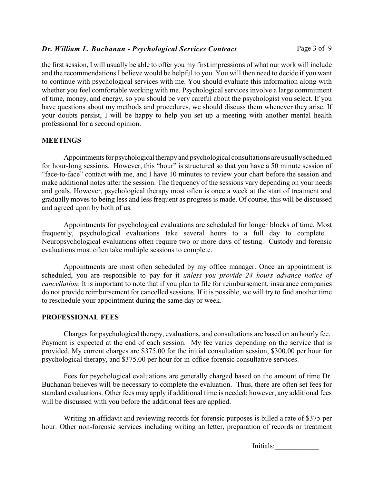the first session, I will usually be able to offer you my first impressions of what our work will include and the recommendations I believe would be helpful to you. You will then need to decide if you want to continue with psychological services with me. You should evaluate this information along with whether you feel comfortable working with me. Psychological services involve a large commitment of time, money, and energy, so you should be very careful about the psychologist you select. If you have questions about my methods and procedures, we should discuss them whenever they arise. If your doubts persist, I will be happy to help you set up a meeting with another mental health professional for a second opinion.

### **MEETINGS**

Appointments for psychological therapy and psychological consultations are usually scheduled for hour-long sessions. However, this "hour" is structured so that you have a 50 minute session of "face-to-face" contact with me, and I have 10 minutes to review your chart before the session and make additional notes after the session. The frequency of the sessions vary depending on your needs and goals. However, psychological therapy most often is once a week at the start of treatment and gradually moves to being less and less frequent as progress is made. Of course, this will be discussed and agreed upon by both of us.

Appointments for psychological evaluations are scheduled for longer blocks of time. Most frequently, psychological evaluations take several hours to a full day to complete. Neuropsychological evaluations often require two or more days of testing. Custody and forensic evaluations most often take multiple sessions to complete.

Appointments are most often scheduled by my office manager. Once an appointment is scheduled, you are responsible to pay for it *unless you provide 24 hours advance notice of cancellation*. It is important to note that if you plan to file for reimbursement, insurance companies do not provide reimbursement for cancelled sessions. If it is possible, we will try to find another time to reschedule your appointment during the same day or week.

### **PROFESSIONAL FEES**

Charges for psychological therapy, evaluations, and consultations are based on an hourly fee. Payment is expected at the end of each session. My fee varies depending on the service that is provided. My current charges are \$375.00 for the initial consultation session, \$300.00 per hour for psychological therapy, and \$375.00 per hour for in-office forensic consultative services.

Fees for psychological evaluations are generally charged based on the amount of time Dr. Buchanan believes will be necessary to complete the evaluation. Thus, there are often set fees for standard evaluations. Other fees may apply if additional time is needed; however, any additional fees will be discussed with you before the additional fees are applied.

Writing an affidavit and reviewing records for forensic purposes is billed a rate of \$375 per hour. Other non-forensic services including writing an letter, preparation of records or treatment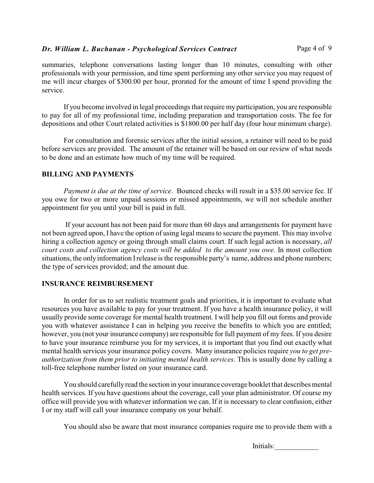summaries, telephone conversations lasting longer than 10 minutes, consulting with other professionals with your permission, and time spent performing any other service you may request of me will incur charges of \$300.00 per hour, prorated for the amount of time I spend providing the service.

If you become involved in legal proceedings that require my participation, you are responsible to pay for all of my professional time, including preparation and transportation costs. The fee for depositions and other Court related activities is \$1800.00 per half day (four hour minimum charge).

For consultation and forensic services after the initial session, a retainer will need to be paid before services are provided. The amount of the retainer will be based on our review of what needs to be done and an estimate how much of my time will be required.

### **BILLING AND PAYMENTS**

*Payment is due at the time of service*. Bounced checks will result in a \$35.00 service fee. If you owe for two or more unpaid sessions or missed appointments, we will not schedule another appointment for you until your bill is paid in full.

 If your account has not been paid for more than 60 days and arrangements for payment have not been agreed upon, I have the option of using legal means to secure the payment. This may involve hiring a collection agency or going through small claims court. If such legal action is necessary, *all court costs and collection agency costs will be added to the amount you owe*. In most collection situations, the only information I release is the responsible party's name, address and phone numbers; the type of services provided; and the amount due.

# **INSURANCE REIMBURSEMENT**

In order for us to set realistic treatment goals and priorities, it is important to evaluate what resources you have available to pay for your treatment. If you have a health insurance policy, it will usually provide some coverage for mental health treatment. I will help you fill out forms and provide you with whatever assistance I can in helping you receive the benefits to which you are entitled; however, you (not your insurance company) are responsible for full payment of my fees. If you desire to have your insurance reimburse you for my services, it is important that you find out exactly what mental health services your insurance policy covers. Many insurance policies require *you to get preauthorization from them prior to initiating mental health services*. This is usually done by calling a toll-free telephone number listed on your insurance card.

You should carefully read the section in your insurance coverage booklet that describes mental health services. If you have questions about the coverage, call your plan administrator. Of course my office will provide you with whatever information we can. If it is necessary to clear confusion, either I or my staff will call your insurance company on your behalf.

You should also be aware that most insurance companies require me to provide them with a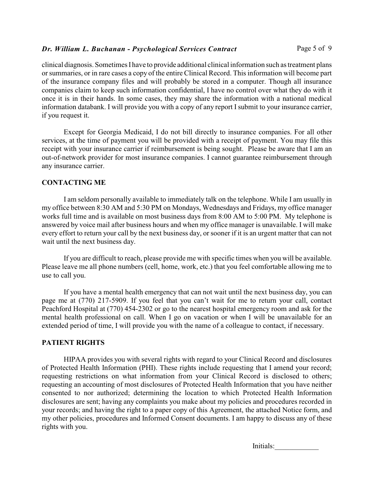clinical diagnosis. Sometimes I have to provide additional clinical information such as treatment plans or summaries, or in rare cases a copy of the entire Clinical Record. This information will become part of the insurance company files and will probably be stored in a computer. Though all insurance companies claim to keep such information confidential, I have no control over what they do with it once it is in their hands. In some cases, they may share the information with a national medical information databank. I will provide you with a copy of any report I submit to your insurance carrier, if you request it.

Except for Georgia Medicaid, I do not bill directly to insurance companies. For all other services, at the time of payment you will be provided with a receipt of payment. You may file this receipt with your insurance carrier if reimbursement is being sought. Please be aware that I am an out-of-network provider for most insurance companies. I cannot guarantee reimbursement through any insurance carrier.

## **CONTACTING ME**

I am seldom personally available to immediately talk on the telephone. While I am usually in my office between 8:30 AM and 5:30 PM on Mondays, Wednesdays and Fridays, my office manager works full time and is available on most business days from 8:00 AM to 5:00 PM. My telephone is answered by voice mail after business hours and when my office manager is unavailable. I will make every effort to return your call by the next business day, or sooner if it is an urgent matter that can not wait until the next business day.

If you are difficult to reach, please provide me with specific times when you will be available. Please leave me all phone numbers (cell, home, work, etc.) that you feel comfortable allowing me to use to call you.

If you have a mental health emergency that can not wait until the next business day, you can page me at (770) 217-5909. If you feel that you can't wait for me to return your call, contact Peachford Hospital at (770) 454-2302 or go to the nearest hospital emergency room and ask for the mental health professional on call. When I go on vacation or when I will be unavailable for an extended period of time, I will provide you with the name of a colleague to contact, if necessary.

# **PATIENT RIGHTS**

HIPAA provides you with several rights with regard to your Clinical Record and disclosures of Protected Health Information (PHI). These rights include requesting that I amend your record; requesting restrictions on what information from your Clinical Record is disclosed to others; requesting an accounting of most disclosures of Protected Health Information that you have neither consented to nor authorized; determining the location to which Protected Health Information disclosures are sent; having any complaints you make about my policies and procedures recorded in your records; and having the right to a paper copy of this Agreement, the attached Notice form, and my other policies, procedures and Informed Consent documents. I am happy to discuss any of these rights with you.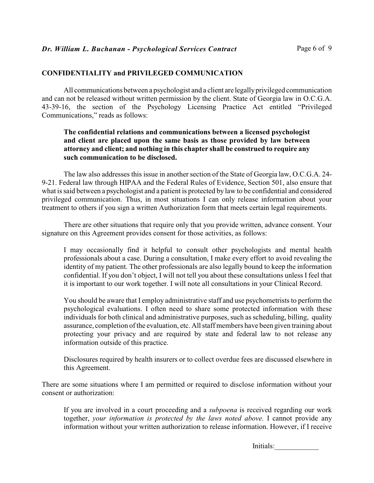## **CONFIDENTIALITY and PRIVILEGED COMMUNICATION**

All communications between a psychologist and a client are legally privileged communication and can not be released without written permission by the client. State of Georgia law in O.C.G.A. 43-39-16, the section of the Psychology Licensing Practice Act entitled "Privileged Communications," reads as follows:

## **The confidential relations and communications between a licensed psychologist and client are placed upon the same basis as those provided by law between attorney and client; and nothing in this chapter shall be construed to require any such communication to be disclosed.**

The law also addresses this issue in another section of the State of Georgia law, O.C.G.A. 24- 9-21. Federal law through HIPAA and the Federal Rules of Evidence, Section 501, also ensure that what is said between a psychologist and a patient is protected by law to be confidential and considered privileged communication. Thus, in most situations I can only release information about your treatment to others if you sign a written Authorization form that meets certain legal requirements.

There are other situations that require only that you provide written, advance consent. Your signature on this Agreement provides consent for those activities, as follows:

I may occasionally find it helpful to consult other psychologists and mental health professionals about a case. During a consultation, I make every effort to avoid revealing the identity of my patient. The other professionals are also legally bound to keep the information confidential. If you don't object, I will not tell you about these consultations unless I feel that it is important to our work together. I will note all consultations in your Clinical Record.

You should be aware that I employ administrative staff and use psychometrists to perform the psychological evaluations. I often need to share some protected information with these individuals for both clinical and administrative purposes, such as scheduling, billing, quality assurance, completion of the evaluation, etc. All staff members have been given training about protecting your privacy and are required by state and federal law to not release any information outside of this practice.

Disclosures required by health insurers or to collect overdue fees are discussed elsewhere in this Agreement.

There are some situations where I am permitted or required to disclose information without your consent or authorization:

If you are involved in a court proceeding and a *subpoena* is received regarding our work together, *your information is protected by the laws noted above.* I cannot provide any information without your written authorization to release information. However, if I receive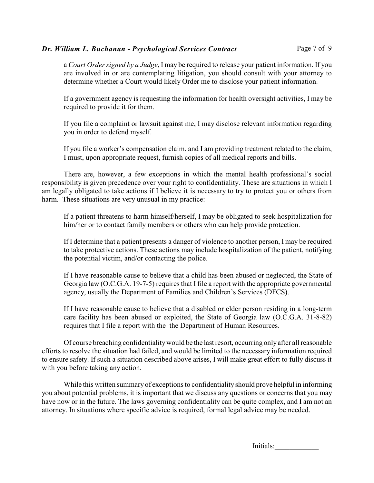## *Dr. William L. Buchanan - Psychological Services Contract* Page 7 of 9

a *Court Order signed by a Judge*, I may be required to release your patient information. If you are involved in or are contemplating litigation, you should consult with your attorney to determine whether a Court would likely Order me to disclose your patient information.

If a government agency is requesting the information for health oversight activities, I may be required to provide it for them.

If you file a complaint or lawsuit against me, I may disclose relevant information regarding you in order to defend myself.

If you file a worker's compensation claim, and I am providing treatment related to the claim, I must, upon appropriate request, furnish copies of all medical reports and bills.

There are, however, a few exceptions in which the mental health professional's social responsibility is given precedence over your right to confidentiality. These are situations in which I am legally obligated to take actions if I believe it is necessary to try to protect you or others from harm. These situations are very unusual in my practice:

If a patient threatens to harm himself/herself, I may be obligated to seek hospitalization for him/her or to contact family members or others who can help provide protection.

If I determine that a patient presents a danger of violence to another person, I may be required to take protective actions. These actions may include hospitalization of the patient, notifying the potential victim, and/or contacting the police.

If I have reasonable cause to believe that a child has been abused or neglected, the State of Georgia law (O.C.G.A. 19-7-5) requires that I file a report with the appropriate governmental agency, usually the Department of Families and Children's Services (DFCS).

If I have reasonable cause to believe that a disabled or elder person residing in a long-term care facility has been abused or exploited, the State of Georgia law (O.C.G.A. 31-8-82) requires that I file a report with the the Department of Human Resources.

Of course breaching confidentiality would be the last resort, occurring only after all reasonable efforts to resolve the situation had failed, and would be limited to the necessary information required to ensure safety. If such a situation described above arises, I will make great effort to fully discuss it with you before taking any action.

While this written summary of exceptions to confidentiality should prove helpful in informing you about potential problems, it is important that we discuss any questions or concerns that you may have now or in the future. The laws governing confidentiality can be quite complex, and I am not an attorney. In situations where specific advice is required, formal legal advice may be needed.

| Initials: |  |  |  |
|-----------|--|--|--|
|           |  |  |  |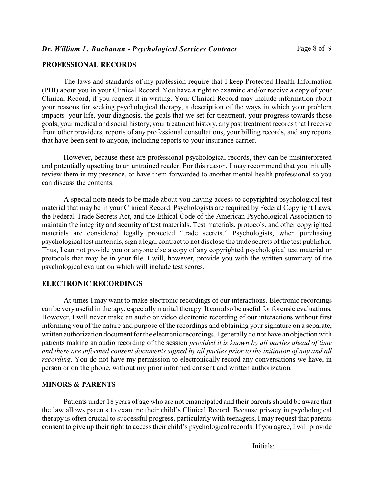#### **PROFESSIONAL RECORDS**

The laws and standards of my profession require that I keep Protected Health Information (PHI) about you in your Clinical Record. You have a right to examine and/or receive a copy of your Clinical Record, if you request it in writing. Your Clinical Record may include information about your reasons for seeking psychological therapy, a description of the ways in which your problem impacts your life, your diagnosis, the goals that we set for treatment, your progress towards those goals, your medical and social history, your treatment history, any past treatment records that I receive from other providers, reports of any professional consultations, your billing records, and any reports that have been sent to anyone, including reports to your insurance carrier.

However, because these are professional psychological records, they can be misinterpreted and potentially upsetting to an untrained reader. For this reason, I may recommend that you initially review them in my presence, or have them forwarded to another mental health professional so you can discuss the contents.

A special note needs to be made about you having access to copyrighted psychological test material that may be in your Clinical Record. Psychologists are required by Federal Copyright Laws, the Federal Trade Secrets Act, and the Ethical Code of the American Psychological Association to maintain the integrity and security of test materials. Test materials, protocols, and other copyrighted materials are considered legally protected "trade secrets." Psychologists, when purchasing psychological test materials, sign a legal contract to not disclose the trade secrets of the test publisher. Thus, I can not provide you or anyone else a copy of any copyrighted psychological test material or protocols that may be in your file. I will, however, provide you with the written summary of the psychological evaluation which will include test scores.

### **ELECTRONIC RECORDINGS**

At times I may want to make electronic recordings of our interactions. Electronic recordings can be very useful in therapy, especially marital therapy. It can also be useful for forensic evaluations. However, I will never make an audio or video electronic recording of our interactions without first informing you of the nature and purpose of the recordings and obtaining your signature on a separate, written authorization document for the electronic recordings. I generally do not have an objection with patients making an audio recording of the session *provided it is known by all parties ahead of time and there are informed consent documents signed by all parties prior to the initiation of any and all recording*. You do not have my permission to electronically record any conversations we have, in person or on the phone, without my prior informed consent and written authorization.

#### **MINORS & PARENTS**

Patients under 18 years of age who are not emancipated and their parents should be aware that the law allows parents to examine their child's Clinical Record. Because privacy in psychological therapy is often crucial to successful progress, particularly with teenagers, I may request that parents consent to give up their right to access their child's psychological records. If you agree, I will provide